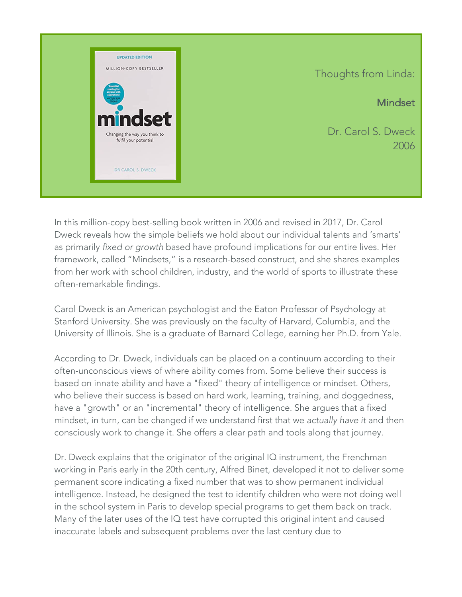

In this million-copy best-selling book written in 2006 and revised in 2017, Dr. Carol Dweck reveals how the simple beliefs we hold about our individual talents and 'smarts' as primarily *fixed or growth* based have profound implications for our entire lives. Her framework, called "Mindsets," is a research-based construct, and she shares examples from her work with school children, industry, and the world of sports to illustrate these often-remarkable findings.

Carol Dweck is an American psychologist and the Eaton Professor of Psychology at Stanford University. She was previously on the faculty of Harvard, Columbia, and the University of Illinois. She is a graduate of Barnard College, earning her Ph.D. from Yale.

According to Dr. Dweck, individuals can be placed on a continuum according to their often-unconscious views of where ability comes from. Some believe their success is based on innate ability and have a "fixed" theory of intelligence or mindset. Others, who believe their success is based on hard work, learning, training, and doggedness, have a "growth" or an "incremental" theory of intelligence. She argues that a fixed mindset, in turn, can be changed if we understand first that we *actually have it* and then consciously work to change it. She offers a clear path and tools along that journey.

Dr. Dweck explains that the originator of the original IQ instrument, the Frenchman working in Paris early in the 20th century, Alfred Binet, developed it not to deliver some permanent score indicating a fixed number that was to show permanent individual intelligence. Instead, he designed the test to identify children who were not doing well in the school system in Paris to develop special programs to get them back on track. Many of the later uses of the IQ test have corrupted this original intent and caused inaccurate labels and subsequent problems over the last century due to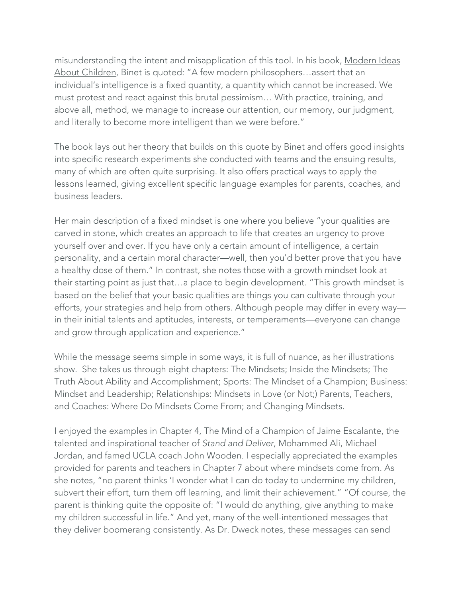misunderstanding the intent and misapplication of this tool. In his book, Modern Ideas About Children, Binet is quoted: "A few modern philosophers…assert that an individual's intelligence is a fixed quantity, a quantity which cannot be increased. We must protest and react against this brutal pessimism… With practice, training, and above all, method, we manage to increase our attention, our memory, our judgment, and literally to become more intelligent than we were before."

The book lays out her theory that builds on this quote by Binet and offers good insights into specific research experiments she conducted with teams and the ensuing results, many of which are often quite surprising. It also offers practical ways to apply the lessons learned, giving excellent specific language examples for parents, coaches, and business leaders.

Her main description of a fixed mindset is one where you believe "your qualities are carved in stone, which creates an approach to life that creates an urgency to prove yourself over and over. If you have only a certain amount of intelligence, a certain personality, and a certain moral character—well, then you'd better prove that you have a healthy dose of them." In contrast, she notes those with a growth mindset look at their starting point as just that…a place to begin development. "This growth mindset is based on the belief that your basic qualities are things you can cultivate through your efforts, your strategies and help from others. Although people may differ in every way in their initial talents and aptitudes, interests, or temperaments—everyone can change and grow through application and experience."

While the message seems simple in some ways, it is full of nuance, as her illustrations show. She takes us through eight chapters: The Mindsets; Inside the Mindsets; The Truth About Ability and Accomplishment; Sports: The Mindset of a Champion; Business: Mindset and Leadership; Relationships: Mindsets in Love (or Not;) Parents, Teachers, and Coaches: Where Do Mindsets Come From; and Changing Mindsets.

I enjoyed the examples in Chapter 4, The Mind of a Champion of Jaime Escalante, the talented and inspirational teacher of *Stand and Deliver*, Mohammed Ali, Michael Jordan, and famed UCLA coach John Wooden. I especially appreciated the examples provided for parents and teachers in Chapter 7 about where mindsets come from. As she notes, "no parent thinks 'I wonder what I can do today to undermine my children, subvert their effort, turn them off learning, and limit their achievement." "Of course, the parent is thinking quite the opposite of: "I would do anything, give anything to make my children successful in life." And yet, many of the well-intentioned messages that they deliver boomerang consistently. As Dr. Dweck notes, these messages can send